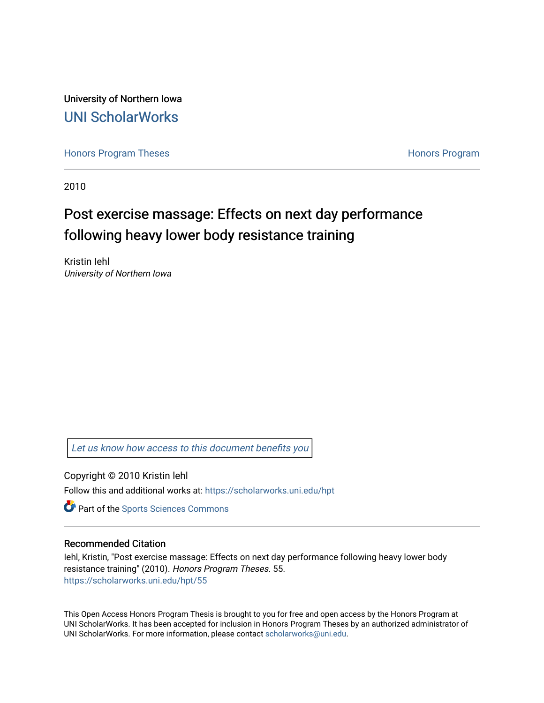University of Northern Iowa [UNI ScholarWorks](https://scholarworks.uni.edu/) 

[Honors Program Theses](https://scholarworks.uni.edu/hpt) **Honors Program** Honors Program

2010

# Post exercise massage: Effects on next day performance following heavy lower body resistance training

Kristin Iehl University of Northern Iowa

[Let us know how access to this document benefits you](https://scholarworks.uni.edu/feedback_form.html) 

Copyright © 2010 Kristin lehl Follow this and additional works at: [https://scholarworks.uni.edu/hpt](https://scholarworks.uni.edu/hpt?utm_source=scholarworks.uni.edu%2Fhpt%2F55&utm_medium=PDF&utm_campaign=PDFCoverPages) 

**Part of the Sports Sciences Commons** 

#### Recommended Citation

Iehl, Kristin, "Post exercise massage: Effects on next day performance following heavy lower body resistance training" (2010). Honors Program Theses. 55. [https://scholarworks.uni.edu/hpt/55](https://scholarworks.uni.edu/hpt/55?utm_source=scholarworks.uni.edu%2Fhpt%2F55&utm_medium=PDF&utm_campaign=PDFCoverPages)

This Open Access Honors Program Thesis is brought to you for free and open access by the Honors Program at UNI ScholarWorks. It has been accepted for inclusion in Honors Program Theses by an authorized administrator of UNI ScholarWorks. For more information, please contact [scholarworks@uni.edu.](mailto:scholarworks@uni.edu)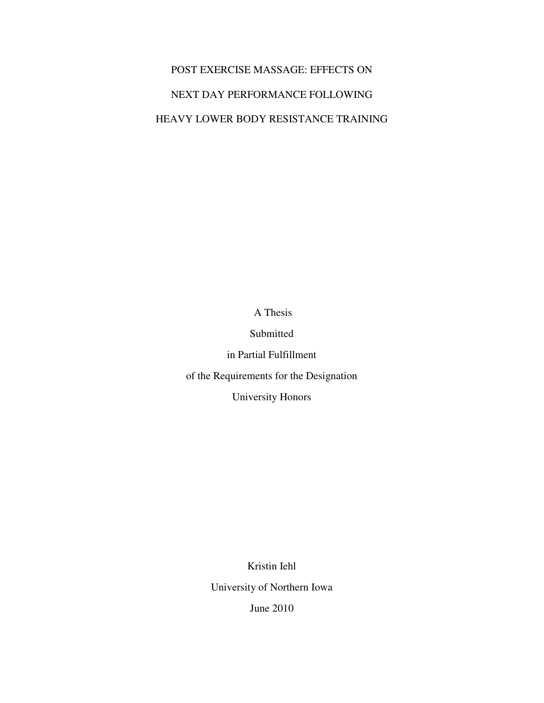# POST EXERCISE MASSAGE: EFFECTS ON NEXT DAY PERFORMANCE FOLLOWING HEAVY LOWER BODY RESISTANCE TRAINING

A Thesis

Submitted

in Partial Fulfillment

of the Requirements for the Designation

University Honors

Kristin Iehl University of Northern Iowa June 2010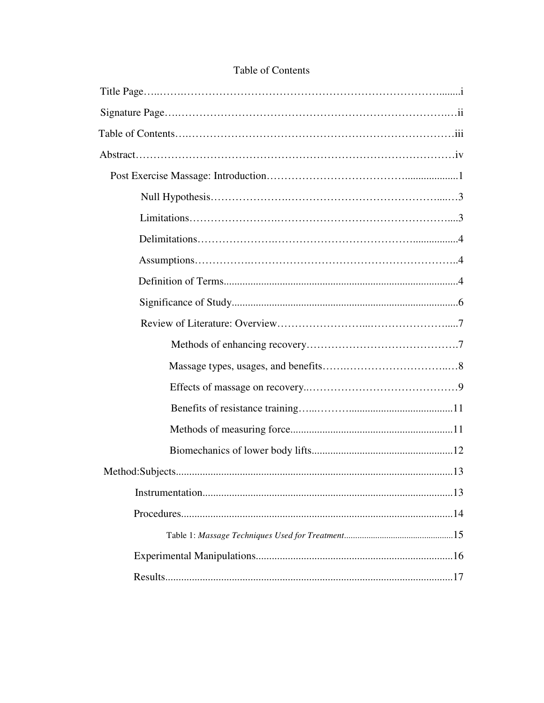# Table of Contents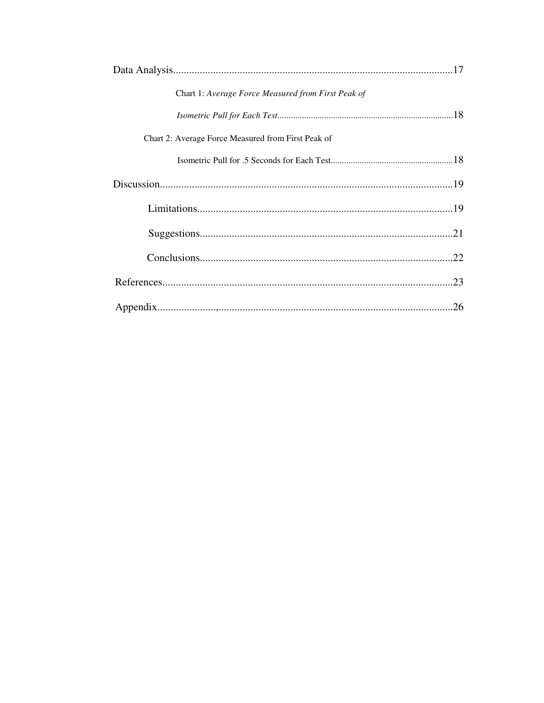| Chart 1: Average Force Measured from First Peak of |
|----------------------------------------------------|
|                                                    |
| Chart 2: Average Force Measured from First Peak of |
|                                                    |
|                                                    |
|                                                    |
|                                                    |
|                                                    |
|                                                    |
|                                                    |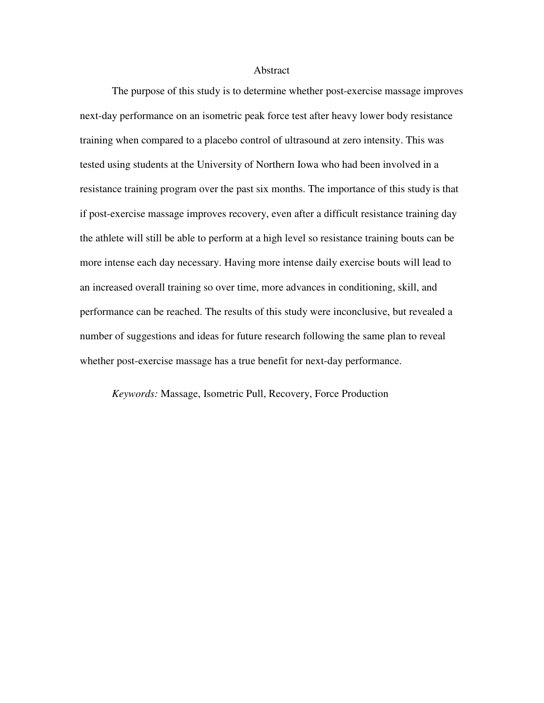#### Abstract

The purpose of this study is to determine whether post-exercise massage improves next-day performance on an isometric peak force test after heavy lower body resistance training when compared to a placebo control of ultrasound at zero intensity. This was tested using students at the University of Northern Iowa who had been involved in a resistance training program over the past six months. The importance of this study is that if post-exercise massage improves recovery, even after a difficult resistance training day the athlete will still be able to perform at a high level so resistance training bouts can be more intense each day necessary. Having more intense daily exercise bouts will lead to an increased overall training so over time, more advances in conditioning, skill, and performance can be reached. The results of this study were inconclusive, but revealed a number of suggestions and ideas for future research following the same plan to reveal whether post-exercise massage has a true benefit for next-day performance.

*Keywords:* Massage, Isometric Pull, Recovery, Force Production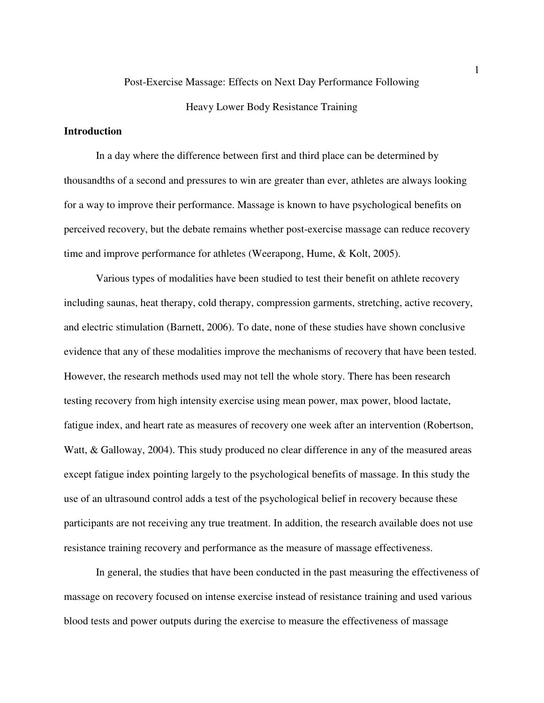# Post-Exercise Massage: Effects on Next Day Performance Following

# Heavy Lower Body Resistance Training

# **Introduction**

In a day where the difference between first and third place can be determined by thousandths of a second and pressures to win are greater than ever, athletes are always looking for a way to improve their performance. Massage is known to have psychological benefits on perceived recovery, but the debate remains whether post-exercise massage can reduce recovery time and improve performance for athletes (Weerapong, Hume, & Kolt, 2005).

Various types of modalities have been studied to test their benefit on athlete recovery including saunas, heat therapy, cold therapy, compression garments, stretching, active recovery, and electric stimulation (Barnett, 2006). To date, none of these studies have shown conclusive evidence that any of these modalities improve the mechanisms of recovery that have been tested. However, the research methods used may not tell the whole story. There has been research testing recovery from high intensity exercise using mean power, max power, blood lactate, fatigue index, and heart rate as measures of recovery one week after an intervention (Robertson, Watt, & Galloway, 2004). This study produced no clear difference in any of the measured areas except fatigue index pointing largely to the psychological benefits of massage. In this study the use of an ultrasound control adds a test of the psychological belief in recovery because these participants are not receiving any true treatment. In addition, the research available does not use resistance training recovery and performance as the measure of massage effectiveness.

In general, the studies that have been conducted in the past measuring the effectiveness of massage on recovery focused on intense exercise instead of resistance training and used various blood tests and power outputs during the exercise to measure the effectiveness of massage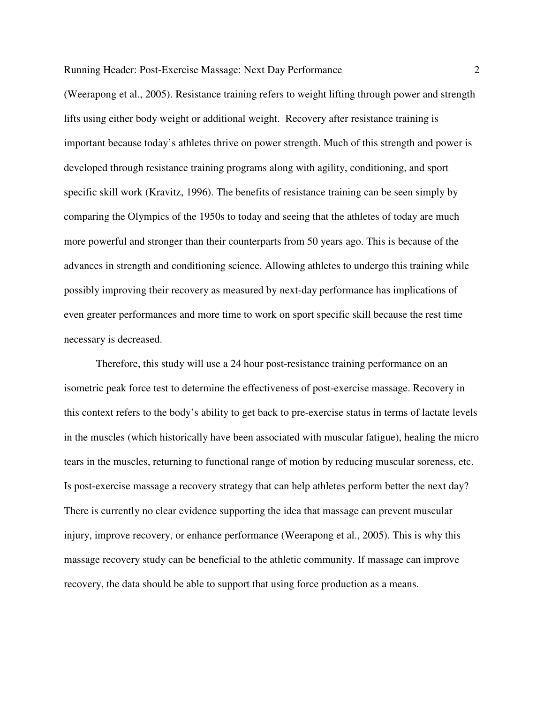(Weerapong et al., 2005). Resistance training refers to weight lifting through power and strength lifts using either body weight or additional weight. Recovery after resistance training is important because today's athletes thrive on power strength. Much of this strength and power is developed through resistance training programs along with agility, conditioning, and sport specific skill work (Kravitz, 1996). The benefits of resistance training can be seen simply by comparing the Olympics of the 1950s to today and seeing that the athletes of today are much more powerful and stronger than their counterparts from 50 years ago. This is because of the advances in strength and conditioning science. Allowing athletes to undergo this training while possibly improving their recovery as measured by next-day performance has implications of even greater performances and more time to work on sport specific skill because the rest time necessary is decreased.

Therefore, this study will use a 24 hour post-resistance training performance on an isometric peak force test to determine the effectiveness of post-exercise massage. Recovery in this context refers to the body's ability to get back to pre-exercise status in terms of lactate levels in the muscles (which historically have been associated with muscular fatigue), healing the micro tears in the muscles, returning to functional range of motion by reducing muscular soreness, etc. Is post-exercise massage a recovery strategy that can help athletes perform better the next day? There is currently no clear evidence supporting the idea that massage can prevent muscular injury, improve recovery, or enhance performance (Weerapong et al., 2005). This is why this massage recovery study can be beneficial to the athletic community. If massage can improve recovery, the data should be able to support that using force production as a means.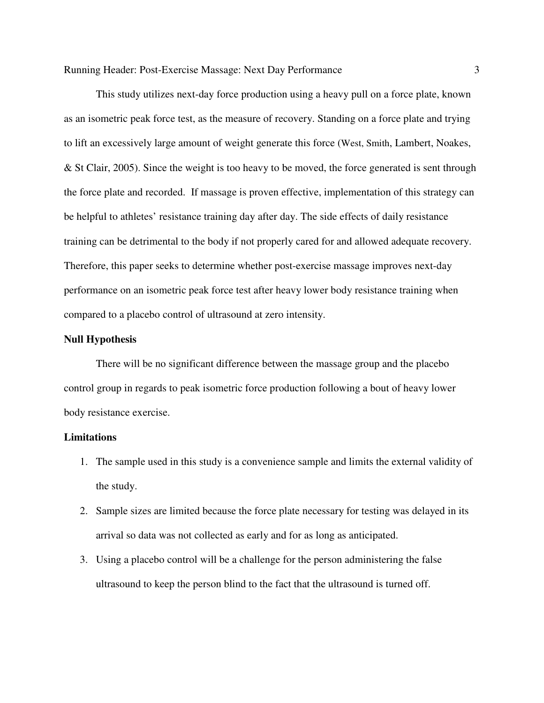This study utilizes next-day force production using a heavy pull on a force plate, known as an isometric peak force test, as the measure of recovery. Standing on a force plate and trying to lift an excessively large amount of weight generate this force (West, Smith, Lambert, Noakes, & St Clair, 2005). Since the weight is too heavy to be moved, the force generated is sent through the force plate and recorded. If massage is proven effective, implementation of this strategy can be helpful to athletes' resistance training day after day. The side effects of daily resistance training can be detrimental to the body if not properly cared for and allowed adequate recovery. Therefore, this paper seeks to determine whether post-exercise massage improves next-day performance on an isometric peak force test after heavy lower body resistance training when compared to a placebo control of ultrasound at zero intensity.

#### **Null Hypothesis**

 There will be no significant difference between the massage group and the placebo control group in regards to peak isometric force production following a bout of heavy lower body resistance exercise.

#### **Limitations**

- 1. The sample used in this study is a convenience sample and limits the external validity of the study.
- 2. Sample sizes are limited because the force plate necessary for testing was delayed in its arrival so data was not collected as early and for as long as anticipated.
- 3. Using a placebo control will be a challenge for the person administering the false ultrasound to keep the person blind to the fact that the ultrasound is turned off.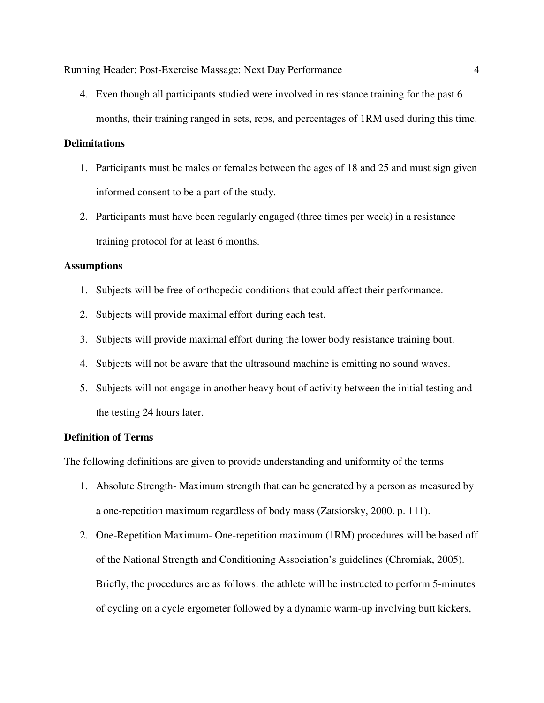4. Even though all participants studied were involved in resistance training for the past 6 months, their training ranged in sets, reps, and percentages of 1RM used during this time.

# **Delimitations**

- 1. Participants must be males or females between the ages of 18 and 25 and must sign given informed consent to be a part of the study.
- 2. Participants must have been regularly engaged (three times per week) in a resistance training protocol for at least 6 months.

## **Assumptions**

- 1. Subjects will be free of orthopedic conditions that could affect their performance.
- 2. Subjects will provide maximal effort during each test.
- 3. Subjects will provide maximal effort during the lower body resistance training bout.
- 4. Subjects will not be aware that the ultrasound machine is emitting no sound waves.
- 5. Subjects will not engage in another heavy bout of activity between the initial testing and the testing 24 hours later.

# **Definition of Terms**

The following definitions are given to provide understanding and uniformity of the terms

- 1. Absolute Strength- Maximum strength that can be generated by a person as measured by a one-repetition maximum regardless of body mass (Zatsiorsky, 2000. p. 111).
- 2. One-Repetition Maximum- One-repetition maximum (1RM) procedures will be based off of the National Strength and Conditioning Association's guidelines (Chromiak, 2005). Briefly, the procedures are as follows: the athlete will be instructed to perform 5-minutes of cycling on a cycle ergometer followed by a dynamic warm-up involving butt kickers,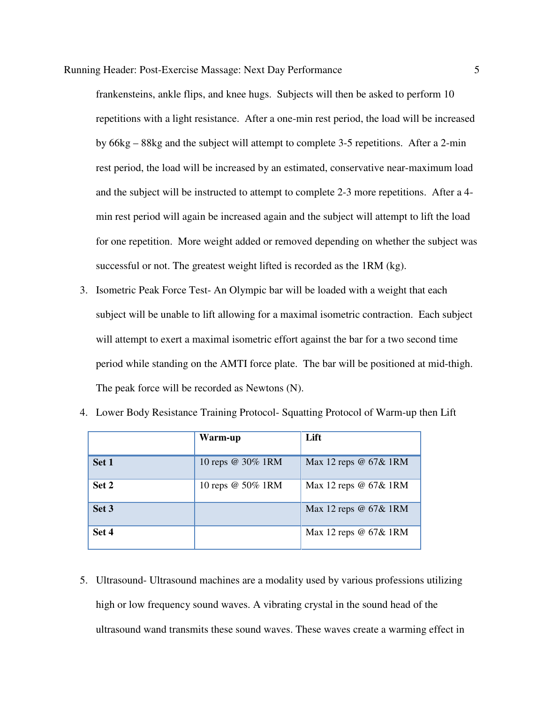frankensteins, ankle flips, and knee hugs. Subjects will then be asked to perform 10 repetitions with a light resistance. After a one-min rest period, the load will be increased by 66kg – 88kg and the subject will attempt to complete 3-5 repetitions. After a 2-min rest period, the load will be increased by an estimated, conservative near-maximum load and the subject will be instructed to attempt to complete 2-3 more repetitions. After a 4 min rest period will again be increased again and the subject will attempt to lift the load for one repetition. More weight added or removed depending on whether the subject was successful or not. The greatest weight lifted is recorded as the 1RM (kg).

3. Isometric Peak Force Test- An Olympic bar will be loaded with a weight that each subject will be unable to lift allowing for a maximal isometric contraction. Each subject will attempt to exert a maximal isometric effort against the bar for a two second time period while standing on the AMTI force plate. The bar will be positioned at mid-thigh. The peak force will be recorded as Newtons (N).

|       | Warm-up           | Lift                        |
|-------|-------------------|-----------------------------|
| Set 1 | 10 reps @ 30% 1RM | Max 12 reps $@$ 67 $\&$ 1RM |
| Set 2 | 10 reps @ 50% 1RM | Max 12 reps @ 67& 1RM       |
| Set 3 |                   | Max 12 reps @ 67& 1RM       |
| Set 4 |                   | Max 12 reps @ 67& 1RM       |

4. Lower Body Resistance Training Protocol- Squatting Protocol of Warm-up then Lift

5. Ultrasound- Ultrasound machines are a modality used by various professions utilizing high or low frequency sound waves. A vibrating crystal in the sound head of the ultrasound wand transmits these sound waves. These waves create a warming effect in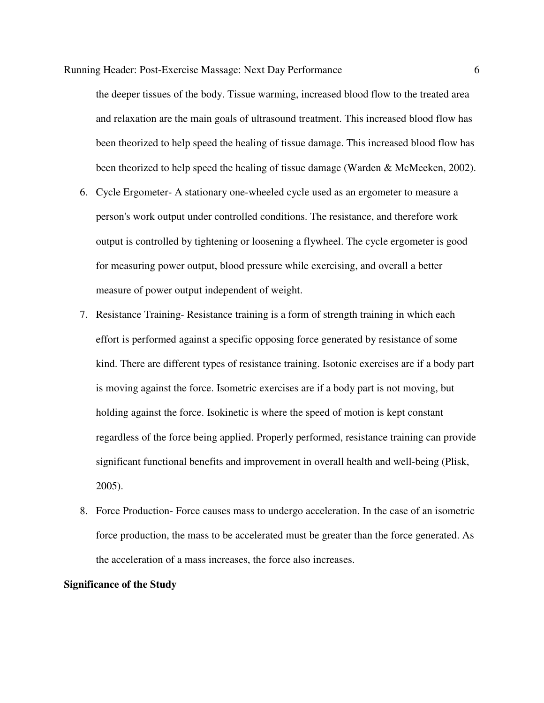the deeper tissues of the body. Tissue warming, increased blood flow to the treated area and relaxation are the main goals of ultrasound treatment. This increased blood flow has been theorized to help speed the healing of tissue damage. This increased blood flow has been theorized to help speed the healing of tissue damage (Warden & McMeeken, 2002).

- 6. Cycle Ergometer- A stationary one-wheeled cycle used as an ergometer to measure a person's work output under controlled conditions. The resistance, and therefore work output is controlled by tightening or loosening a flywheel. The cycle ergometer is good for measuring power output, blood pressure while exercising, and overall a better measure of power output independent of weight.
- 7. Resistance Training- Resistance training is a form of strength training in which each effort is performed against a specific opposing force generated by resistance of some kind. There are different types of resistance training. Isotonic exercises are if a body part is moving against the force. Isometric exercises are if a body part is not moving, but holding against the force. Isokinetic is where the speed of motion is kept constant regardless of the force being applied. Properly performed, resistance training can provide significant functional benefits and improvement in overall health and well-being (Plisk, 2005).
- 8. Force Production- Force causes mass to undergo acceleration. In the case of an isometric force production, the mass to be accelerated must be greater than the force generated. As the acceleration of a mass increases, the force also increases.

#### **Significance of the Study**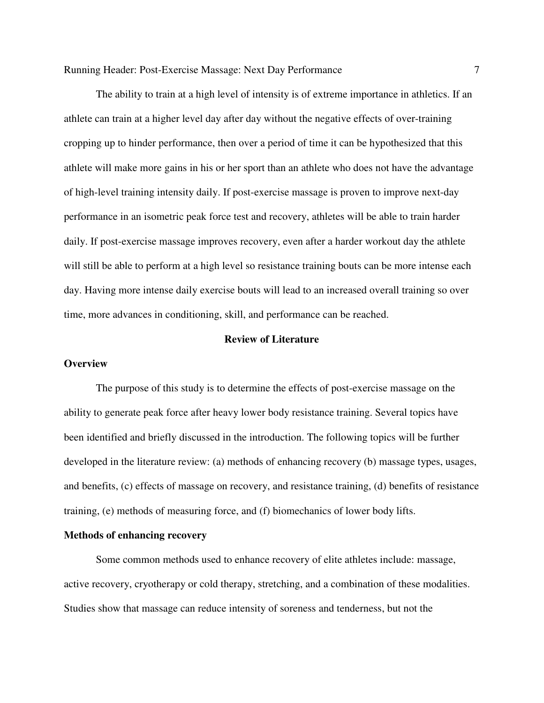The ability to train at a high level of intensity is of extreme importance in athletics. If an athlete can train at a higher level day after day without the negative effects of over-training cropping up to hinder performance, then over a period of time it can be hypothesized that this athlete will make more gains in his or her sport than an athlete who does not have the advantage of high-level training intensity daily. If post-exercise massage is proven to improve next-day performance in an isometric peak force test and recovery, athletes will be able to train harder daily. If post-exercise massage improves recovery, even after a harder workout day the athlete will still be able to perform at a high level so resistance training bouts can be more intense each day. Having more intense daily exercise bouts will lead to an increased overall training so over time, more advances in conditioning, skill, and performance can be reached.

# **Review of Literature**

#### **Overview**

The purpose of this study is to determine the effects of post-exercise massage on the ability to generate peak force after heavy lower body resistance training. Several topics have been identified and briefly discussed in the introduction. The following topics will be further developed in the literature review: (a) methods of enhancing recovery (b) massage types, usages, and benefits, (c) effects of massage on recovery, and resistance training, (d) benefits of resistance training, (e) methods of measuring force, and (f) biomechanics of lower body lifts.

#### **Methods of enhancing recovery**

Some common methods used to enhance recovery of elite athletes include: massage, active recovery, cryotherapy or cold therapy, stretching, and a combination of these modalities. Studies show that massage can reduce intensity of soreness and tenderness, but not the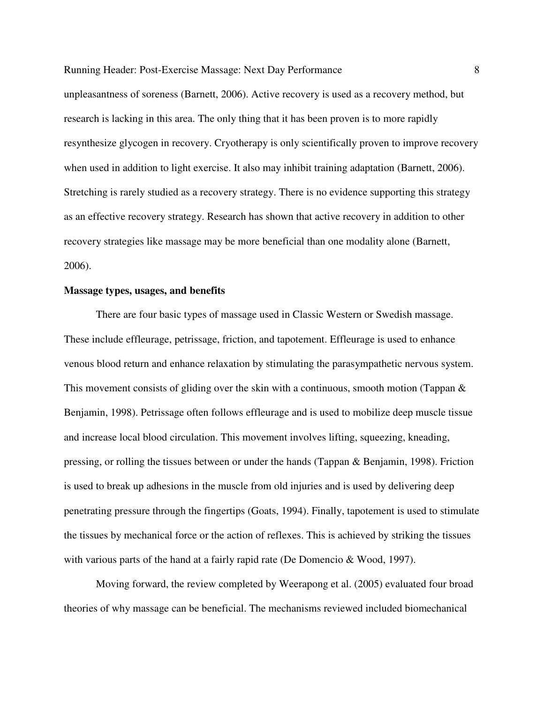unpleasantness of soreness (Barnett, 2006). Active recovery is used as a recovery method, but research is lacking in this area. The only thing that it has been proven is to more rapidly resynthesize glycogen in recovery. Cryotherapy is only scientifically proven to improve recovery when used in addition to light exercise. It also may inhibit training adaptation (Barnett, 2006). Stretching is rarely studied as a recovery strategy. There is no evidence supporting this strategy as an effective recovery strategy. Research has shown that active recovery in addition to other recovery strategies like massage may be more beneficial than one modality alone (Barnett, 2006).

#### **Massage types, usages, and benefits**

There are four basic types of massage used in Classic Western or Swedish massage. These include effleurage, petrissage, friction, and tapotement. Effleurage is used to enhance venous blood return and enhance relaxation by stimulating the parasympathetic nervous system. This movement consists of gliding over the skin with a continuous, smooth motion (Tappan & Benjamin, 1998). Petrissage often follows effleurage and is used to mobilize deep muscle tissue and increase local blood circulation. This movement involves lifting, squeezing, kneading, pressing, or rolling the tissues between or under the hands (Tappan & Benjamin, 1998). Friction is used to break up adhesions in the muscle from old injuries and is used by delivering deep penetrating pressure through the fingertips (Goats, 1994). Finally, tapotement is used to stimulate the tissues by mechanical force or the action of reflexes. This is achieved by striking the tissues with various parts of the hand at a fairly rapid rate (De Domencio & Wood, 1997).

Moving forward, the review completed by Weerapong et al. (2005) evaluated four broad theories of why massage can be beneficial. The mechanisms reviewed included biomechanical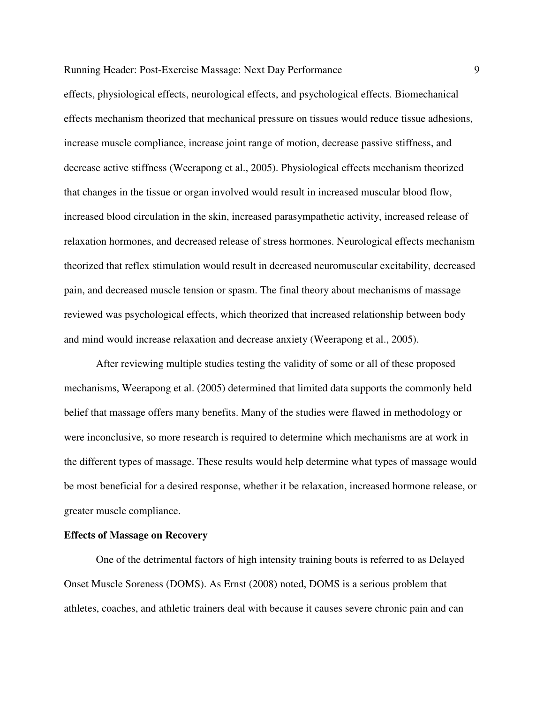effects, physiological effects, neurological effects, and psychological effects. Biomechanical effects mechanism theorized that mechanical pressure on tissues would reduce tissue adhesions, increase muscle compliance, increase joint range of motion, decrease passive stiffness, and decrease active stiffness (Weerapong et al., 2005). Physiological effects mechanism theorized that changes in the tissue or organ involved would result in increased muscular blood flow, increased blood circulation in the skin, increased parasympathetic activity, increased release of relaxation hormones, and decreased release of stress hormones. Neurological effects mechanism theorized that reflex stimulation would result in decreased neuromuscular excitability, decreased pain, and decreased muscle tension or spasm. The final theory about mechanisms of massage reviewed was psychological effects, which theorized that increased relationship between body and mind would increase relaxation and decrease anxiety (Weerapong et al., 2005).

After reviewing multiple studies testing the validity of some or all of these proposed mechanisms, Weerapong et al. (2005) determined that limited data supports the commonly held belief that massage offers many benefits. Many of the studies were flawed in methodology or were inconclusive, so more research is required to determine which mechanisms are at work in the different types of massage. These results would help determine what types of massage would be most beneficial for a desired response, whether it be relaxation, increased hormone release, or greater muscle compliance.

#### **Effects of Massage on Recovery**

One of the detrimental factors of high intensity training bouts is referred to as Delayed Onset Muscle Soreness (DOMS). As Ernst (2008) noted, DOMS is a serious problem that athletes, coaches, and athletic trainers deal with because it causes severe chronic pain and can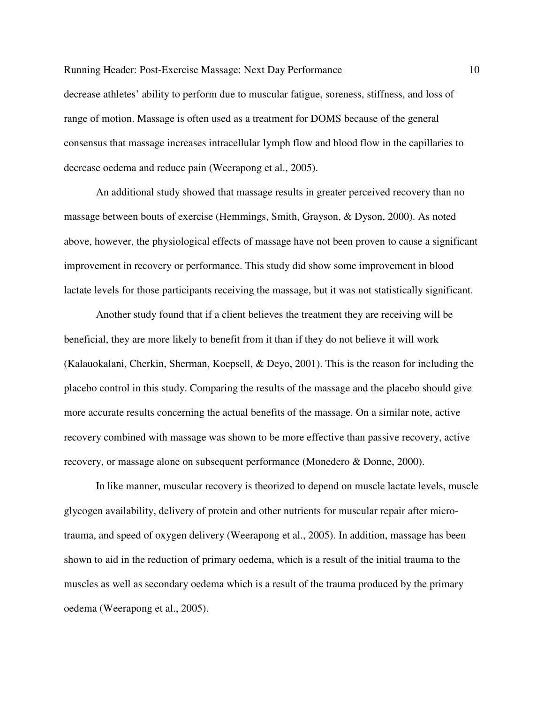Running Header: Post-Exercise Massage: Next Day Performance 10 decrease athletes' ability to perform due to muscular fatigue, soreness, stiffness, and loss of range of motion. Massage is often used as a treatment for DOMS because of the general consensus that massage increases intracellular lymph flow and blood flow in the capillaries to decrease oedema and reduce pain (Weerapong et al., 2005).

An additional study showed that massage results in greater perceived recovery than no massage between bouts of exercise (Hemmings, Smith, Grayson, & Dyson, 2000). As noted above, however, the physiological effects of massage have not been proven to cause a significant improvement in recovery or performance. This study did show some improvement in blood lactate levels for those participants receiving the massage, but it was not statistically significant.

Another study found that if a client believes the treatment they are receiving will be beneficial, they are more likely to benefit from it than if they do not believe it will work (Kalauokalani, Cherkin, Sherman, Koepsell, & Deyo, 2001). This is the reason for including the placebo control in this study. Comparing the results of the massage and the placebo should give more accurate results concerning the actual benefits of the massage. On a similar note, active recovery combined with massage was shown to be more effective than passive recovery, active recovery, or massage alone on subsequent performance (Monedero & Donne, 2000).

In like manner, muscular recovery is theorized to depend on muscle lactate levels, muscle glycogen availability, delivery of protein and other nutrients for muscular repair after microtrauma, and speed of oxygen delivery (Weerapong et al., 2005). In addition, massage has been shown to aid in the reduction of primary oedema, which is a result of the initial trauma to the muscles as well as secondary oedema which is a result of the trauma produced by the primary oedema (Weerapong et al., 2005).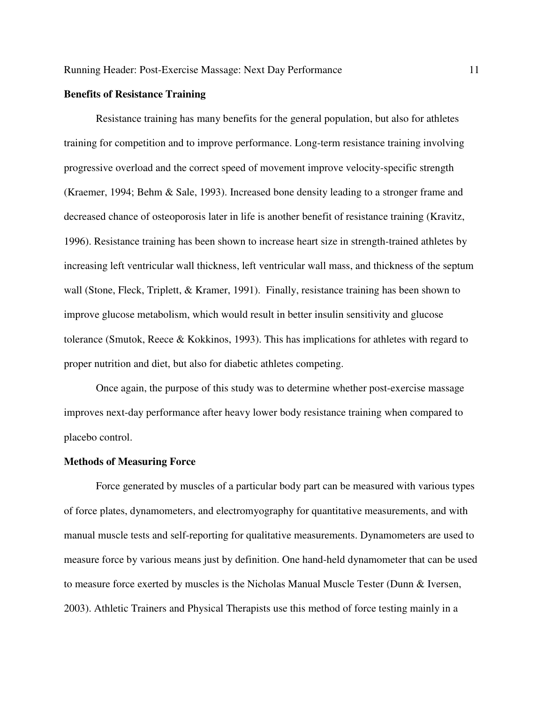#### **Benefits of Resistance Training**

Resistance training has many benefits for the general population, but also for athletes training for competition and to improve performance. Long-term resistance training involving progressive overload and the correct speed of movement improve velocity-specific strength (Kraemer, 1994; Behm & Sale, 1993). Increased bone density leading to a stronger frame and decreased chance of osteoporosis later in life is another benefit of resistance training (Kravitz, 1996). Resistance training has been shown to increase heart size in strength-trained athletes by increasing left ventricular wall thickness, left ventricular wall mass, and thickness of the septum wall (Stone, Fleck, Triplett, & Kramer, 1991). Finally, resistance training has been shown to improve glucose metabolism, which would result in better insulin sensitivity and glucose tolerance (Smutok, Reece  $\&$  Kokkinos, 1993). This has implications for athletes with regard to proper nutrition and diet, but also for diabetic athletes competing.

Once again, the purpose of this study was to determine whether post-exercise massage improves next-day performance after heavy lower body resistance training when compared to placebo control.

#### **Methods of Measuring Force**

Force generated by muscles of a particular body part can be measured with various types of force plates, dynamometers, and electromyography for quantitative measurements, and with manual muscle tests and self-reporting for qualitative measurements. Dynamometers are used to measure force by various means just by definition. One hand-held dynamometer that can be used to measure force exerted by muscles is the Nicholas Manual Muscle Tester (Dunn & Iversen, 2003). Athletic Trainers and Physical Therapists use this method of force testing mainly in a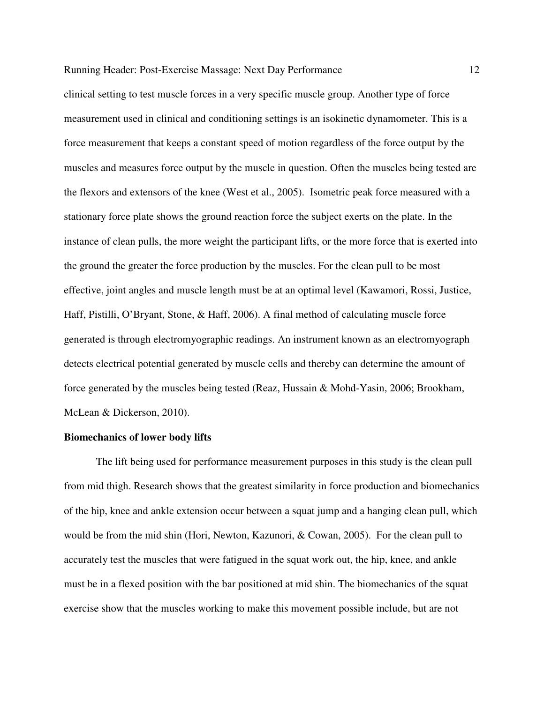clinical setting to test muscle forces in a very specific muscle group. Another type of force measurement used in clinical and conditioning settings is an isokinetic dynamometer. This is a force measurement that keeps a constant speed of motion regardless of the force output by the muscles and measures force output by the muscle in question. Often the muscles being tested are the flexors and extensors of the knee (West et al., 2005). Isometric peak force measured with a stationary force plate shows the ground reaction force the subject exerts on the plate. In the instance of clean pulls, the more weight the participant lifts, or the more force that is exerted into the ground the greater the force production by the muscles. For the clean pull to be most effective, joint angles and muscle length must be at an optimal level (Kawamori, Rossi, Justice, Haff, Pistilli, O'Bryant, Stone, & Haff, 2006). A final method of calculating muscle force generated is through electromyographic readings. An instrument known as an electromyograph detects electrical potential generated by muscle cells and thereby can determine the amount of force generated by the muscles being tested (Reaz, Hussain & Mohd-Yasin, 2006; Brookham, McLean & Dickerson, 2010).

#### **Biomechanics of lower body lifts**

The lift being used for performance measurement purposes in this study is the clean pull from mid thigh. Research shows that the greatest similarity in force production and biomechanics of the hip, knee and ankle extension occur between a squat jump and a hanging clean pull, which would be from the mid shin (Hori, Newton, Kazunori, & Cowan, 2005). For the clean pull to accurately test the muscles that were fatigued in the squat work out, the hip, knee, and ankle must be in a flexed position with the bar positioned at mid shin. The biomechanics of the squat exercise show that the muscles working to make this movement possible include, but are not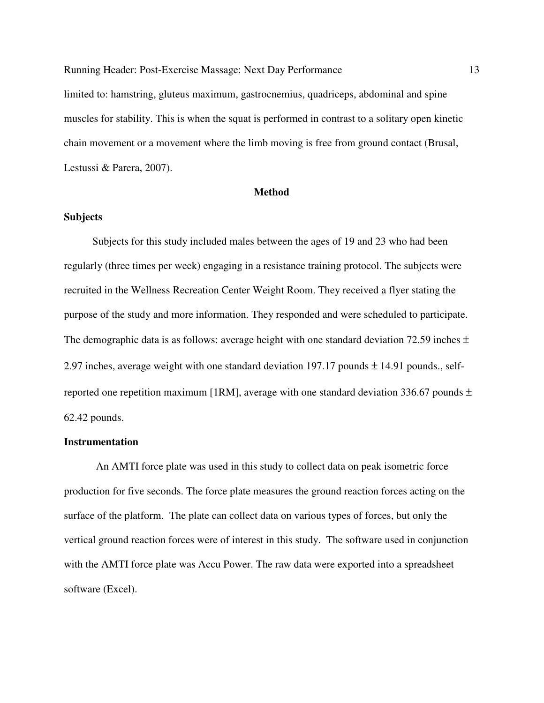limited to: hamstring, gluteus maximum, gastrocnemius, quadriceps, abdominal and spine muscles for stability. This is when the squat is performed in contrast to a solitary open kinetic chain movement or a movement where the limb moving is free from ground contact (Brusal, Lestussi & Parera, 2007).

#### **Method**

### **Subjects**

 Subjects for this study included males between the ages of 19 and 23 who had been regularly (three times per week) engaging in a resistance training protocol. The subjects were recruited in the Wellness Recreation Center Weight Room. They received a flyer stating the purpose of the study and more information. They responded and were scheduled to participate. The demographic data is as follows: average height with one standard deviation 72.59 inches  $\pm$ 2.97 inches, average weight with one standard deviation 197.17 pounds  $\pm$  14.91 pounds., selfreported one repetition maximum [1RM], average with one standard deviation 336.67 pounds  $\pm$ 62.42 pounds.

### **Instrumentation**

An AMTI force plate was used in this study to collect data on peak isometric force production for five seconds. The force plate measures the ground reaction forces acting on the surface of the platform. The plate can collect data on various types of forces, but only the vertical ground reaction forces were of interest in this study. The software used in conjunction with the AMTI force plate was Accu Power. The raw data were exported into a spreadsheet software (Excel).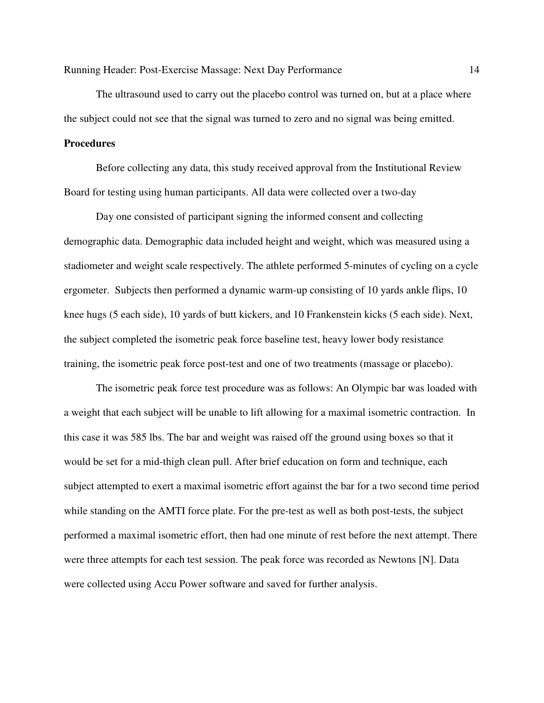The ultrasound used to carry out the placebo control was turned on, but at a place where the subject could not see that the signal was turned to zero and no signal was being emitted.

# **Procedures**

Before collecting any data, this study received approval from the Institutional Review Board for testing using human participants. All data were collected over a two-day

Day one consisted of participant signing the informed consent and collecting demographic data. Demographic data included height and weight, which was measured using a stadiometer and weight scale respectively. The athlete performed 5-minutes of cycling on a cycle ergometer. Subjects then performed a dynamic warm-up consisting of 10 yards ankle flips, 10 knee hugs (5 each side), 10 yards of butt kickers, and 10 Frankenstein kicks (5 each side). Next, the subject completed the isometric peak force baseline test, heavy lower body resistance training, the isometric peak force post-test and one of two treatments (massage or placebo).

The isometric peak force test procedure was as follows: An Olympic bar was loaded with a weight that each subject will be unable to lift allowing for a maximal isometric contraction. In this case it was 585 lbs. The bar and weight was raised off the ground using boxes so that it would be set for a mid-thigh clean pull. After brief education on form and technique, each subject attempted to exert a maximal isometric effort against the bar for a two second time period while standing on the AMTI force plate. For the pre-test as well as both post-tests, the subject performed a maximal isometric effort, then had one minute of rest before the next attempt. There were three attempts for each test session. The peak force was recorded as Newtons [N]. Data were collected using Accu Power software and saved for further analysis.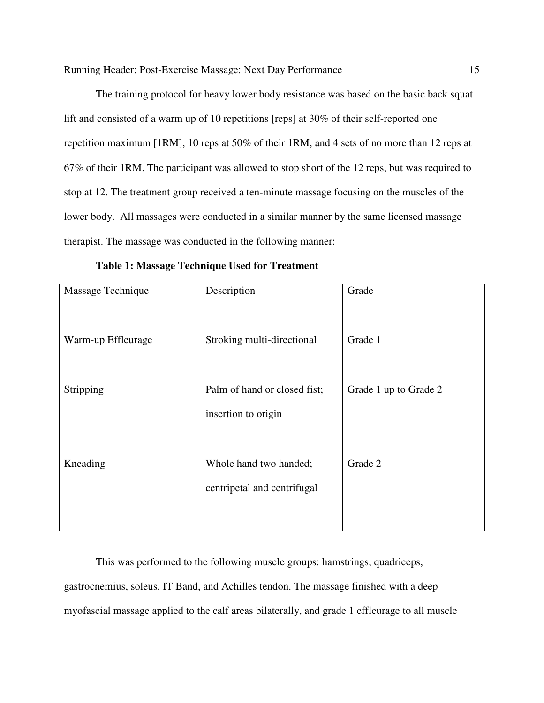The training protocol for heavy lower body resistance was based on the basic back squat lift and consisted of a warm up of 10 repetitions [reps] at 30% of their self-reported one repetition maximum [1RM], 10 reps at 50% of their 1RM, and 4 sets of no more than 12 reps at 67% of their 1RM. The participant was allowed to stop short of the 12 reps, but was required to stop at 12. The treatment group received a ten-minute massage focusing on the muscles of the lower body. All massages were conducted in a similar manner by the same licensed massage therapist. The massage was conducted in the following manner:

| Massage Technique  | Description                                           | Grade                 |
|--------------------|-------------------------------------------------------|-----------------------|
| Warm-up Effleurage | Stroking multi-directional                            | Grade 1               |
| Stripping          | Palm of hand or closed fist;<br>insertion to origin   | Grade 1 up to Grade 2 |
| Kneading           | Whole hand two handed;<br>centripetal and centrifugal | Grade 2               |

**Table 1: Massage Technique Used for Treatment** 

This was performed to the following muscle groups: hamstrings, quadriceps, gastrocnemius, soleus, IT Band, and Achilles tendon. The massage finished with a deep myofascial massage applied to the calf areas bilaterally, and grade 1 effleurage to all muscle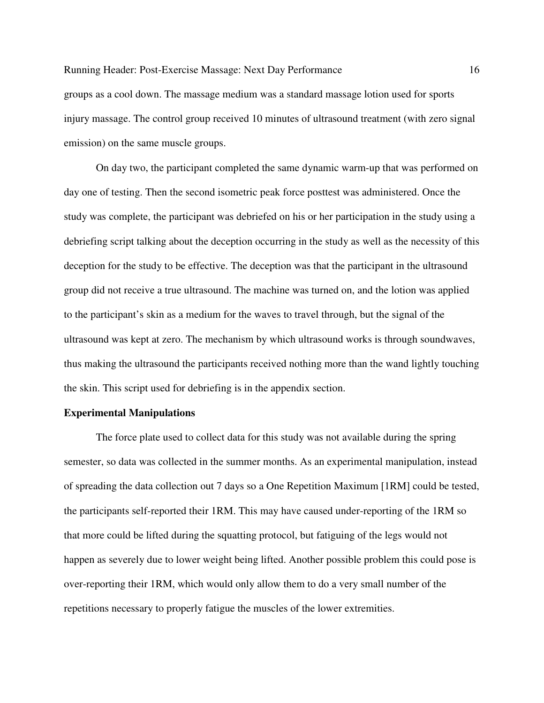groups as a cool down. The massage medium was a standard massage lotion used for sports injury massage. The control group received 10 minutes of ultrasound treatment (with zero signal emission) on the same muscle groups.

On day two, the participant completed the same dynamic warm-up that was performed on day one of testing. Then the second isometric peak force posttest was administered. Once the study was complete, the participant was debriefed on his or her participation in the study using a debriefing script talking about the deception occurring in the study as well as the necessity of this deception for the study to be effective. The deception was that the participant in the ultrasound group did not receive a true ultrasound. The machine was turned on, and the lotion was applied to the participant's skin as a medium for the waves to travel through, but the signal of the ultrasound was kept at zero. The mechanism by which ultrasound works is through soundwaves, thus making the ultrasound the participants received nothing more than the wand lightly touching the skin. This script used for debriefing is in the appendix section.

#### **Experimental Manipulations**

The force plate used to collect data for this study was not available during the spring semester, so data was collected in the summer months. As an experimental manipulation, instead of spreading the data collection out 7 days so a One Repetition Maximum [1RM] could be tested, the participants self-reported their 1RM. This may have caused under-reporting of the 1RM so that more could be lifted during the squatting protocol, but fatiguing of the legs would not happen as severely due to lower weight being lifted. Another possible problem this could pose is over-reporting their 1RM, which would only allow them to do a very small number of the repetitions necessary to properly fatigue the muscles of the lower extremities.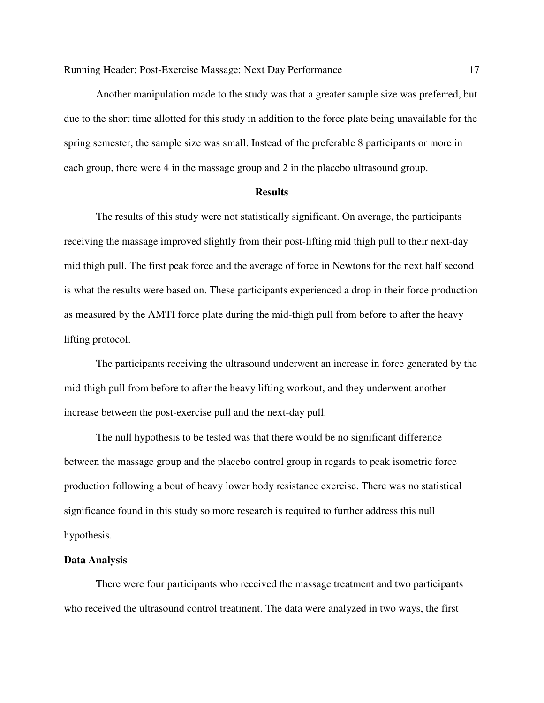Another manipulation made to the study was that a greater sample size was preferred, but due to the short time allotted for this study in addition to the force plate being unavailable for the spring semester, the sample size was small. Instead of the preferable 8 participants or more in each group, there were 4 in the massage group and 2 in the placebo ultrasound group.

#### **Results**

The results of this study were not statistically significant. On average, the participants receiving the massage improved slightly from their post-lifting mid thigh pull to their next-day mid thigh pull. The first peak force and the average of force in Newtons for the next half second is what the results were based on. These participants experienced a drop in their force production as measured by the AMTI force plate during the mid-thigh pull from before to after the heavy lifting protocol.

The participants receiving the ultrasound underwent an increase in force generated by the mid-thigh pull from before to after the heavy lifting workout, and they underwent another increase between the post-exercise pull and the next-day pull.

The null hypothesis to be tested was that there would be no significant difference between the massage group and the placebo control group in regards to peak isometric force production following a bout of heavy lower body resistance exercise. There was no statistical significance found in this study so more research is required to further address this null hypothesis.

#### **Data Analysis**

 There were four participants who received the massage treatment and two participants who received the ultrasound control treatment. The data were analyzed in two ways, the first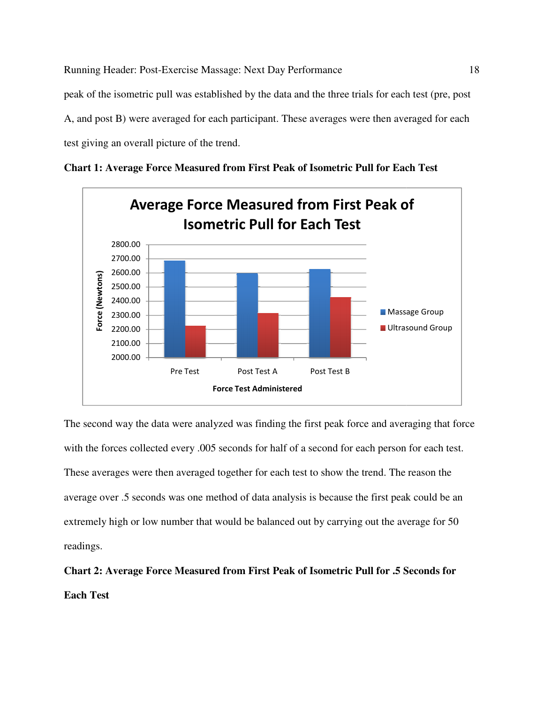peak of the isometric pull was established by the data and the three trials for each test (pre, post A, and post B) were averaged for each participant. These averages were then averaged for each test giving an overall picture of the trend. the isometric pull was established by the data and the three trials<br>bost B) were averaged for each participant. These averages were<br>ng an overall picture of the trend.



**Chart 1: Average Force Measured from First Peak of Isometric Pull for Each Test**

The second way the data were analyzed was finding the first peak force and averaging that force with the forces collected every .005 seconds for half of a second for each person for each test. These averages were then averaged together for each test to show the trend. The reason the The reason the average over .5 seconds was one method of data analysis is because the first peak could be an extremely high or low number that would be balanced out by carrying out the average for 50 readings. Post Test A<br>
Post Test B<br>
Post Test B<br>
Test Administered<br>
Max Sinding the first peak force and averaging that<br>
mds for half of a second for each person for each t<br>
ther for each test to show the trend. The reason the<br>
of d

# **Chart 2: Average Force Measured from First Peak of Isometric Pull for .5 Seconds for Each Test**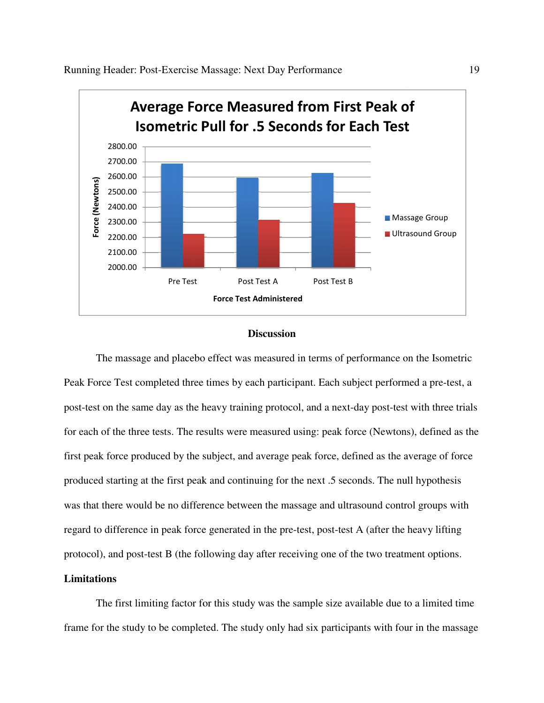

# **Discussion**

The massage and placebo effect was measured in terms of performance on the Isometric Peak Force Test completed three times by each participant. Each subject performed a pre-test, a Peak Force Test completed three times by each participant. Each subject performed a pre-test, a<br>post-test on the same day as the heavy training protocol, and a next-day post-test with three trials post-test on the same day as the heavy training protocol, and a next-day post-test with three trials<br>for each of the three tests. The results were measured using: peak force (Newtons), defined as the first peak force produced by the subject, and average peak force, defined as the average of force first peak force produced by the subject, and average peak force, defined as the average of for-<br>produced starting at the first peak and continuing for the next .5 seconds. The null hypothesis was that there would be no difference between the massage and ultrasound control groups with was that there would be no difference between the massage and ultrasound control groups wit<br>regard to difference in peak force generated in the pre-test, post-test A (after the heavy lifting protocol), and post-test B (the following day after receiving one of the two treatment options.

#### **Limitations**

The first limiting factor for this study was the sample size available due to a limited time frame for the study to be completed. The study only had six participants with four in the massage test B (the following day after receiving one of the two treatment options.<br>iting factor for this study was the sample size available due to a limited time<br>to be completed. The study only had six participants with four in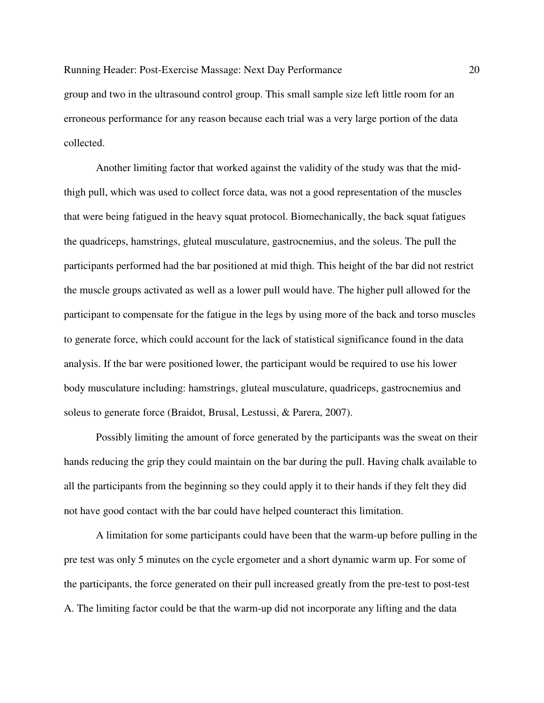group and two in the ultrasound control group. This small sample size left little room for an erroneous performance for any reason because each trial was a very large portion of the data collected.

Another limiting factor that worked against the validity of the study was that the midthigh pull, which was used to collect force data, was not a good representation of the muscles that were being fatigued in the heavy squat protocol. Biomechanically, the back squat fatigues the quadriceps, hamstrings, gluteal musculature, gastrocnemius, and the soleus. The pull the participants performed had the bar positioned at mid thigh. This height of the bar did not restrict the muscle groups activated as well as a lower pull would have. The higher pull allowed for the participant to compensate for the fatigue in the legs by using more of the back and torso muscles to generate force, which could account for the lack of statistical significance found in the data analysis. If the bar were positioned lower, the participant would be required to use his lower body musculature including: hamstrings, gluteal musculature, quadriceps, gastrocnemius and soleus to generate force (Braidot, Brusal, Lestussi, & Parera, 2007).

Possibly limiting the amount of force generated by the participants was the sweat on their hands reducing the grip they could maintain on the bar during the pull. Having chalk available to all the participants from the beginning so they could apply it to their hands if they felt they did not have good contact with the bar could have helped counteract this limitation.

A limitation for some participants could have been that the warm-up before pulling in the pre test was only 5 minutes on the cycle ergometer and a short dynamic warm up. For some of the participants, the force generated on their pull increased greatly from the pre-test to post-test A. The limiting factor could be that the warm-up did not incorporate any lifting and the data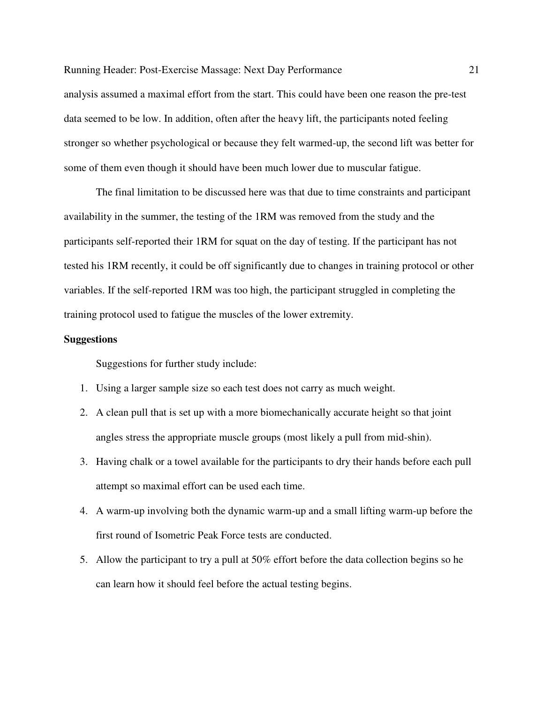analysis assumed a maximal effort from the start. This could have been one reason the pre-test data seemed to be low. In addition, often after the heavy lift, the participants noted feeling stronger so whether psychological or because they felt warmed-up, the second lift was better for some of them even though it should have been much lower due to muscular fatigue.

The final limitation to be discussed here was that due to time constraints and participant availability in the summer, the testing of the 1RM was removed from the study and the participants self-reported their 1RM for squat on the day of testing. If the participant has not tested his 1RM recently, it could be off significantly due to changes in training protocol or other variables. If the self-reported 1RM was too high, the participant struggled in completing the training protocol used to fatigue the muscles of the lower extremity.

# **Suggestions**

Suggestions for further study include:

- 1. Using a larger sample size so each test does not carry as much weight.
- 2. A clean pull that is set up with a more biomechanically accurate height so that joint angles stress the appropriate muscle groups (most likely a pull from mid-shin).
- 3. Having chalk or a towel available for the participants to dry their hands before each pull attempt so maximal effort can be used each time.
- 4. A warm-up involving both the dynamic warm-up and a small lifting warm-up before the first round of Isometric Peak Force tests are conducted.
- 5. Allow the participant to try a pull at 50% effort before the data collection begins so he can learn how it should feel before the actual testing begins.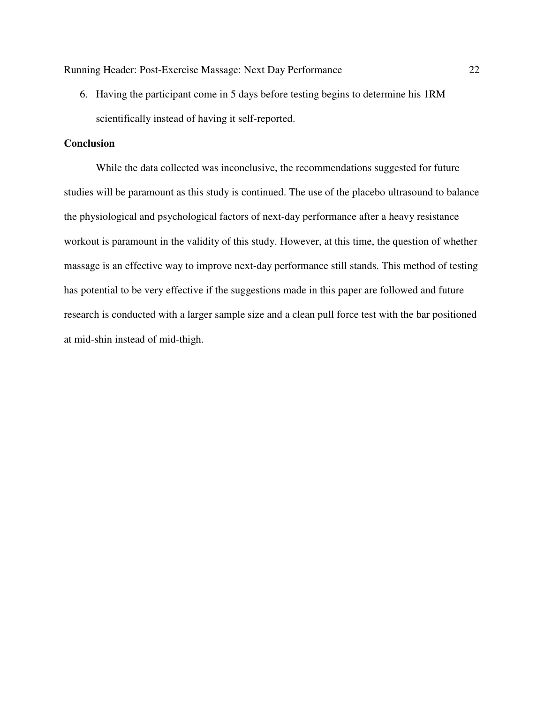6. Having the participant come in 5 days before testing begins to determine his 1RM scientifically instead of having it self-reported.

## **Conclusion**

While the data collected was inconclusive, the recommendations suggested for future studies will be paramount as this study is continued. The use of the placebo ultrasound to balance the physiological and psychological factors of next-day performance after a heavy resistance workout is paramount in the validity of this study. However, at this time, the question of whether massage is an effective way to improve next-day performance still stands. This method of testing has potential to be very effective if the suggestions made in this paper are followed and future research is conducted with a larger sample size and a clean pull force test with the bar positioned at mid-shin instead of mid-thigh.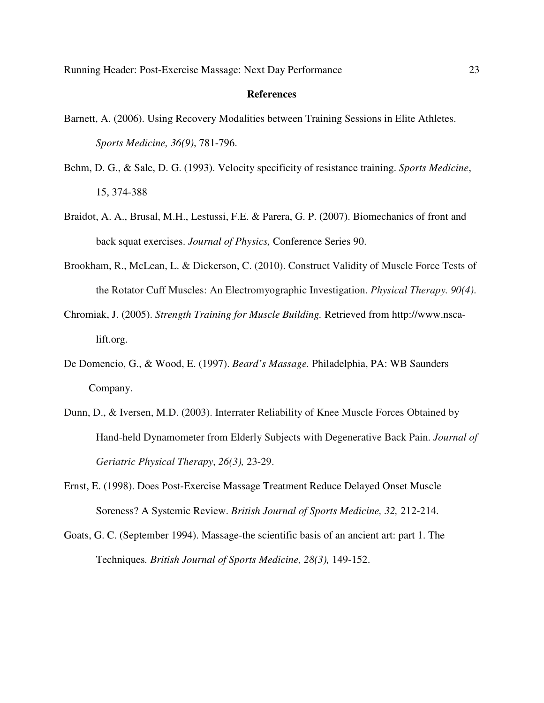#### **References**

- Barnett, A. (2006). Using Recovery Modalities between Training Sessions in Elite Athletes. *Sports Medicine, 36(9)*, 781-796.
- Behm, D. G., & Sale, D. G. (1993). Velocity specificity of resistance training. *Sports Medicine*, 15, 374-388
- Braidot, A. A., Brusal, M.H., Lestussi, F.E. & Parera, G. P. (2007). Biomechanics of front and back squat exercises. *Journal of Physics,* Conference Series 90.
- Brookham, R., McLean, L. & Dickerson, C. (2010). Construct Validity of Muscle Force Tests of the Rotator Cuff Muscles: An Electromyographic Investigation. *Physical Therapy. 90(4)*.
- Chromiak, J. (2005). *Strength Training for Muscle Building.* Retrieved from http://www.nscalift.org.
- De Domencio, G., & Wood, E. (1997). *Beard's Massage.* Philadelphia, PA: WB Saunders Company.
- Dunn, D., & Iversen, M.D. (2003). Interrater Reliability of Knee Muscle Forces Obtained by Hand-held Dynamometer from Elderly Subjects with Degenerative Back Pain. *Journal of Geriatric Physical Therapy*, *26(3),* 23-29.
- Ernst, E. (1998). Does Post-Exercise Massage Treatment Reduce Delayed Onset Muscle Soreness? A Systemic Review. *British Journal of Sports Medicine, 32,* 212-214.
- Goats, G. C. (September 1994). Massage-the scientific basis of an ancient art: part 1. The Techniques*. British Journal of Sports Medicine, 28(3),* 149-152.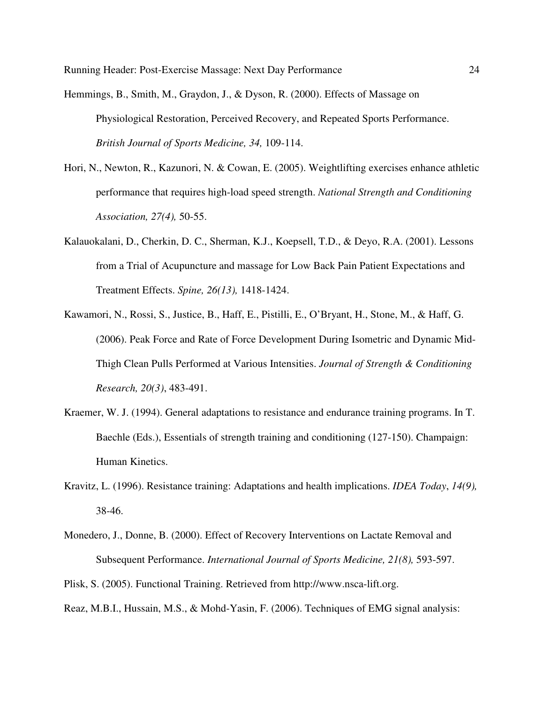Hemmings, B., Smith, M., Graydon, J., & Dyson, R. (2000). Effects of Massage on Physiological Restoration, Perceived Recovery, and Repeated Sports Performance. *British Journal of Sports Medicine, 34,* 109-114.

- Hori, N., Newton, R., Kazunori, N. & Cowan, E. (2005). Weightlifting exercises enhance athletic performance that requires high-load speed strength. *National Strength and Conditioning Association, 27(4),* 50-55.
- Kalauokalani, D., Cherkin, D. C., Sherman, K.J., Koepsell, T.D., & Deyo, R.A. (2001). Lessons from a Trial of Acupuncture and massage for Low Back Pain Patient Expectations and Treatment Effects. *Spine, 26(13),* 1418-1424.
- Kawamori, N., Rossi, S., Justice, B., Haff, E., Pistilli, E., O'Bryant, H., Stone, M., & Haff, G. (2006). Peak Force and Rate of Force Development During Isometric and Dynamic Mid-Thigh Clean Pulls Performed at Various Intensities. *Journal of Strength & Conditioning Research, 20(3)*, 483-491.
- Kraemer, W. J. (1994). General adaptations to resistance and endurance training programs. In T. Baechle (Eds.), Essentials of strength training and conditioning (127-150). Champaign: Human Kinetics.
- Kravitz, L. (1996). Resistance training: Adaptations and health implications. *IDEA Today*, *14(9),* 38-46.
- Monedero, J., Donne, B. (2000). Effect of Recovery Interventions on Lactate Removal and Subsequent Performance. *International Journal of Sports Medicine, 21(8),* 593-597.
- Plisk, S. (2005). Functional Training. Retrieved from http://www.nsca-lift.org.
- Reaz, M.B.I., Hussain, M.S., & Mohd-Yasin, F. (2006). Techniques of EMG signal analysis: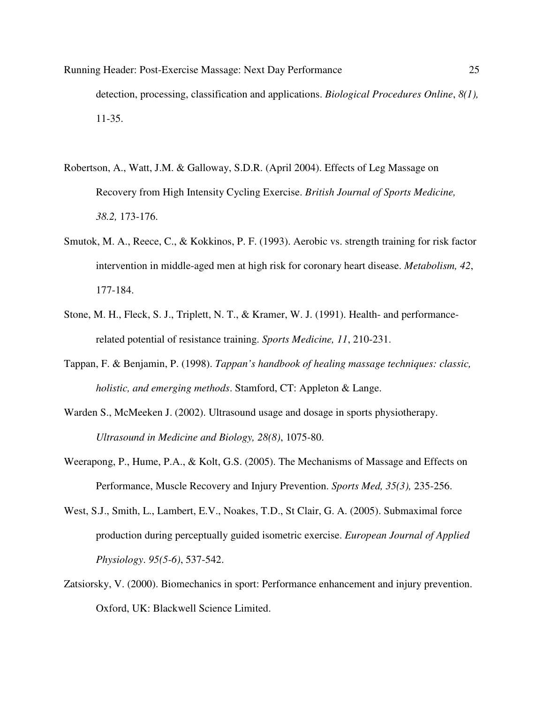- Running Header: Post-Exercise Massage: Next Day Performance 25 detection, processing, classification and applications. *Biological Procedures Online*, *8(1),* 11-35.
- Robertson, A., Watt, J.M. & Galloway, S.D.R. (April 2004). Effects of Leg Massage on Recovery from High Intensity Cycling Exercise. *British Journal of Sports Medicine, 38.2,* 173-176.
- Smutok, M. A., Reece, C., & Kokkinos, P. F. (1993). Aerobic vs. strength training for risk factor intervention in middle-aged men at high risk for coronary heart disease. *Metabolism, 42*, 177-184.
- Stone, M. H., Fleck, S. J., Triplett, N. T., & Kramer, W. J. (1991). Health- and performancerelated potential of resistance training. *Sports Medicine, 11*, 210-231.
- Tappan, F. & Benjamin, P. (1998). *Tappan's handbook of healing massage techniques: classic, holistic, and emerging methods*. Stamford, CT: Appleton & Lange.
- Warden S., McMeeken J. (2002). Ultrasound usage and dosage in sports physiotherapy. *Ultrasound in Medicine and Biology, 28(8)*, 1075-80.
- Weerapong, P., Hume, P.A., & Kolt, G.S. (2005). The Mechanisms of Massage and Effects on Performance, Muscle Recovery and Injury Prevention. *Sports Med, 35(3),* 235-256.
- West, S.J., Smith, L., Lambert, E.V., Noakes, T.D., St Clair, G. A. (2005). Submaximal force production during perceptually guided isometric exercise. *European Journal of Applied Physiology*. *95(5-6)*, 537-542.
- Zatsiorsky, V. (2000). Biomechanics in sport: Performance enhancement and injury prevention. Oxford, UK: Blackwell Science Limited.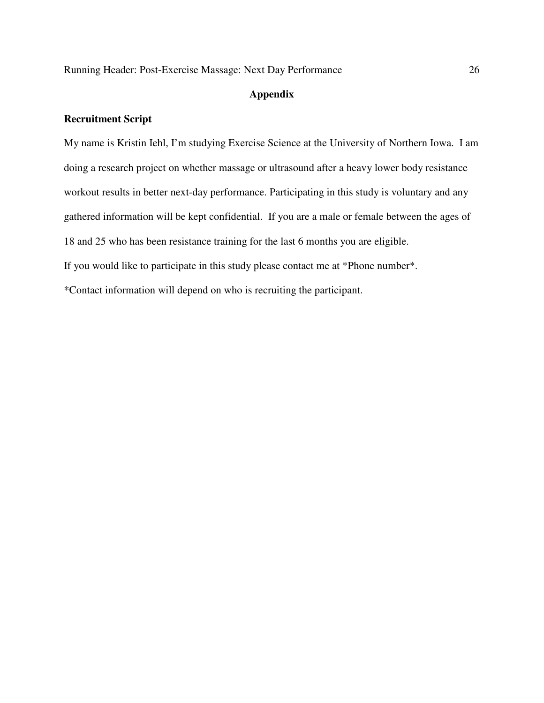# **Appendix**

# **Recruitment Script**

My name is Kristin Iehl, I'm studying Exercise Science at the University of Northern Iowa. I am doing a research project on whether massage or ultrasound after a heavy lower body resistance workout results in better next-day performance. Participating in this study is voluntary and any gathered information will be kept confidential. If you are a male or female between the ages of 18 and 25 who has been resistance training for the last 6 months you are eligible. If you would like to participate in this study please contact me at \*Phone number\*.

\*Contact information will depend on who is recruiting the participant.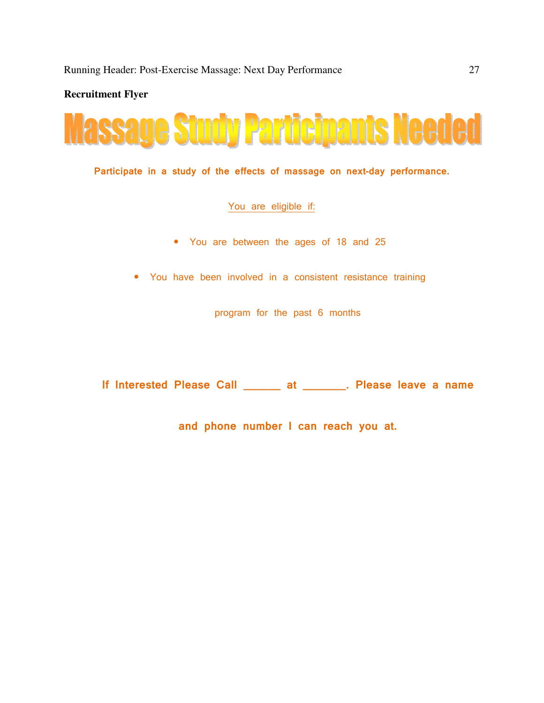**Recruitment Flyer** 



Participate in a study of the effects of massage on next-day performance.

#### You are eligible if:

- You are between the ages of 18 and 25
- You have been involved in a consistent resistance training

program for the past 6 months

If Interested Please Call \_\_\_\_\_\_\_ at \_\_\_\_\_\_\_. Please leave a name

and phone number I can reach you at.